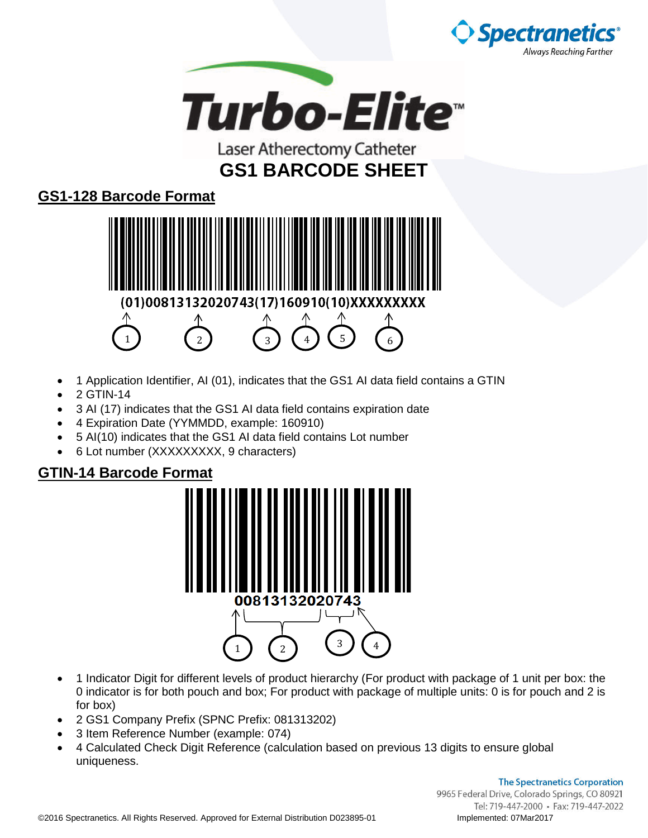



### **GS1-128 Barcode Format**



- 1 Application Identifier, AI (01), indicates that the GS1 AI data field contains a GTIN
- 2 GTIN-14
- 3 AI (17) indicates that the GS1 AI data field contains expiration date
- 4 Expiration Date (YYMMDD, example: 160910)
- 5 AI(10) indicates that the GS1 AI data field contains Lot number
- 6 Lot number (XXXXXXXXX, 9 characters)

#### **GTIN-14 Barcode Format**



- 1 Indicator Digit for different levels of product hierarchy (For product with package of 1 unit per box: the 0 indicator is for both pouch and box; For product with package of multiple units: 0 is for pouch and 2 is for box)
- 2 GS1 Company Prefix (SPNC Prefix: 081313202)
- 3 Item Reference Number (example: 074)
- 4 Calculated Check Digit Reference (calculation based on previous 13 digits to ensure global uniqueness.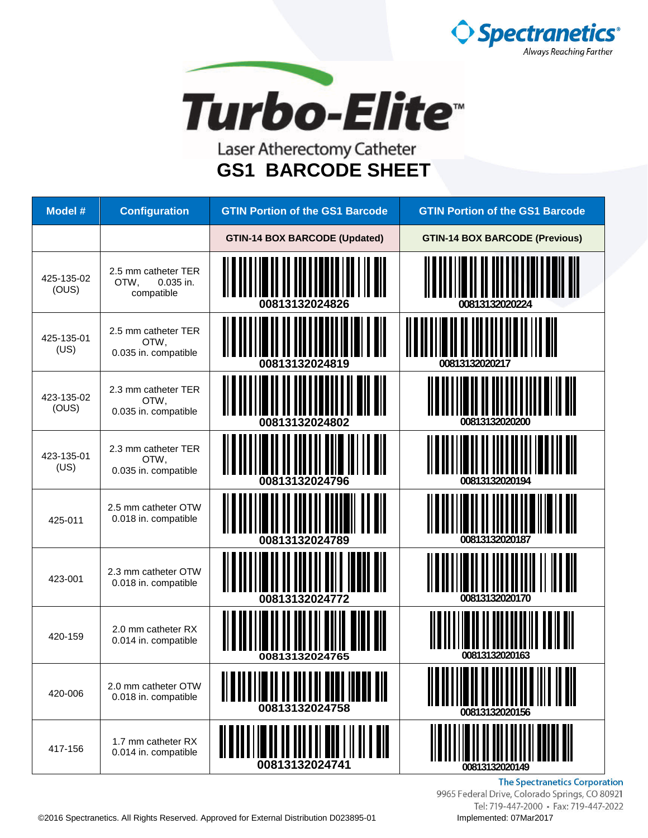



| <b>Model #</b>      | <b>Configuration</b>                                   | <b>GTIN Portion of the GS1 Barcode</b>                    | <b>GTIN Portion of the GS1 Barcode</b> |
|---------------------|--------------------------------------------------------|-----------------------------------------------------------|----------------------------------------|
|                     |                                                        | <b>GTIN-14 BOX BARCODE (Updated)</b>                      | <b>GTIN-14 BOX BARCODE (Previous)</b>  |
| 425-135-02<br>(OUS) | 2.5 mm catheter TER<br>0.035 in.<br>OTW,<br>compatible | 00813132024826                                            | 00813132020224                         |
| 425-135-01<br>(US)  | 2.5 mm catheter TER<br>OTW,<br>0.035 in. compatible    | 00813132024819                                            | 00813132020217                         |
| 423-135-02<br>(OUS) | 2.3 mm catheter TER<br>OTW,<br>0.035 in. compatible    | 00813132024802                                            | 00813132020200                         |
| 423-135-01<br>(US)  | 2.3 mm catheter TER<br>OTW,<br>0.035 in. compatible    | 00813132024796                                            | 00813132020194                         |
| 425-011             | 2.5 mm catheter OTW<br>0.018 in. compatible            | 00813132024789                                            | 00813132020187                         |
| 423-001             | 2.3 mm catheter OTW<br>0.018 in. compatible            | 00813132024772                                            | 00813132020170                         |
| 420-159             | 2.0 mm catheter RX<br>0.014 in. compatible             | 00813132024765                                            | 00813132020163                         |
| 420-006             | 2.0 mm catheter OTW<br>0.018 in. compatible            | ,,,,,,,,,,,,,,,,,,,,,,,,,,,,,,,,,,<br>I<br>00813132024758 | 00813132020156                         |
| 417-156             | 1.7 mm catheter RX<br>0.014 in. compatible             | 00813132024741                                            | 00813132020149                         |

**The Spectranetics Corporation** 9965 Federal Drive, Colorado Springs, CO 80921 Tel: 719-447-2000 · Fax: 719-447-2022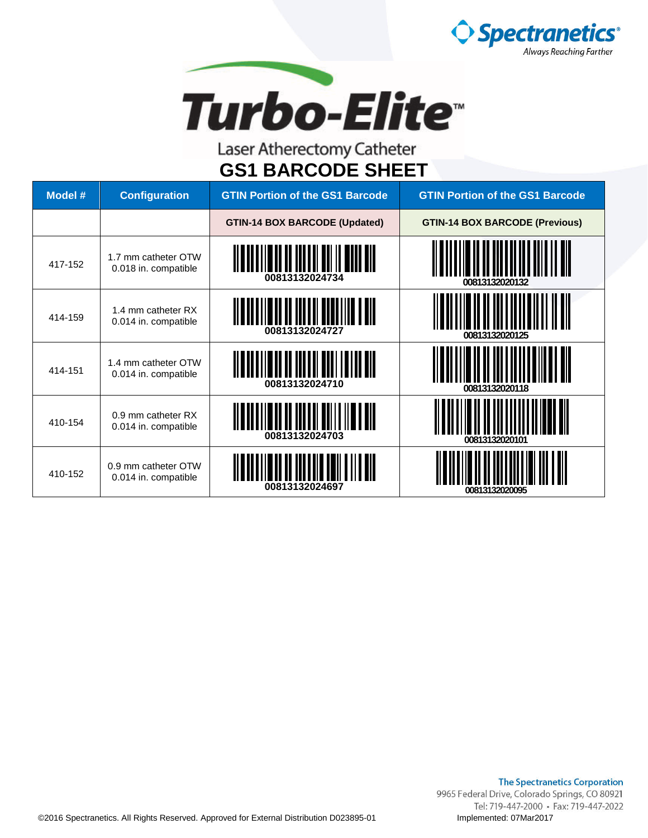



| Model # | <b>Configuration</b>                        | <b>GTIN Portion of the GS1 Barcode</b> | <b>GTIN Portion of the GS1 Barcode</b> |
|---------|---------------------------------------------|----------------------------------------|----------------------------------------|
|         |                                             | <b>GTIN-14 BOX BARCODE (Updated)</b>   | <b>GTIN-14 BOX BARCODE (Previous)</b>  |
| 417-152 | 1.7 mm catheter OTW<br>0.018 in. compatible | 00813132024734                         | 00813132020132                         |
| 414-159 | 1.4 mm catheter RX<br>0.014 in. compatible  | 00813132024727                         | 00813132020125                         |
| 414-151 | 1.4 mm catheter OTW<br>0.014 in. compatible | 00813132024710                         | 00813132020118                         |
| 410-154 | 0.9 mm catheter RX<br>0.014 in. compatible  | IIIIII<br>00813132024703               | 00813132020101                         |
| 410-152 | 0.9 mm catheter OTW<br>0.014 in. compatible | 00813132024697                         | 00813132020095                         |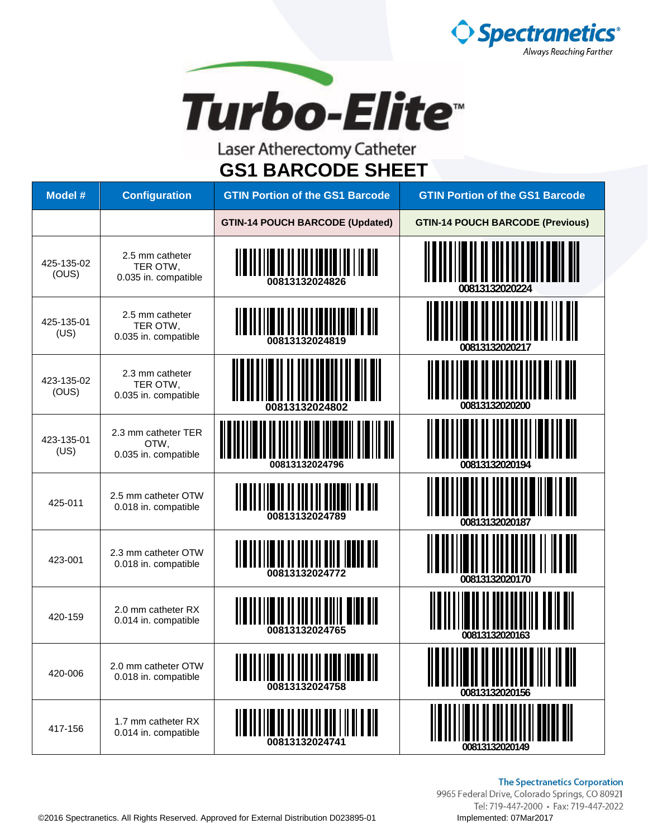



| <b>Model #</b>      | <b>Configuration</b>                                | <b>GTIN Portion of the GS1 Barcode</b>                                                                                                   | <b>GTIN Portion of the GS1 Barcode</b>                                                                        |
|---------------------|-----------------------------------------------------|------------------------------------------------------------------------------------------------------------------------------------------|---------------------------------------------------------------------------------------------------------------|
|                     |                                                     | <b>GTIN-14 POUCH BARCODE (Updated)</b>                                                                                                   | <b>GTIN-14 POUCH BARCODE (Previous)</b>                                                                       |
| 425-135-02<br>(OUS) | 2.5 mm catheter<br>TER OTW,<br>0.035 in. compatible | <u> III DI DI IL II DI LITTULI III III DIL</u><br>00813132024826                                                                         | 00813132020224                                                                                                |
| 425-135-01<br>(US)  | 2.5 mm catheter<br>TER OTW,<br>0.035 in. compatible | <u> II B II B II B II B II B II B II B I B II B II B II B II B II B II B II B II B II B II B II B II B II B II B</u><br>00813132024819   | 00813132020217                                                                                                |
| 423-135-02<br>(OUS) | 2.3 mm catheter<br>TER OTW,<br>0.035 in. compatible | 00813132024802                                                                                                                           | 00813132020200                                                                                                |
| 423-135-01<br>(US)  | 2.3 mm catheter TER<br>OTW,<br>0.035 in. compatible | 00813132024796                                                                                                                           | 00813132020194                                                                                                |
| 425-011             | 2.5 mm catheter OTW<br>0.018 in. compatible         | <u> Alban Albah de antara dalam dalam dalam dalam dalam dalam dalam dalam dalam dalam dalam dalam dalam dalam dala</u><br>00813132024789 | 00813132020187                                                                                                |
| 423-001             | 2.3 mm catheter OTW<br>0.018 in. compatible         | <u> Alama ilin da da da anda mada all</u><br>00813132024772                                                                              | 00813132020170                                                                                                |
| 420-159             | 2.0 mm catheter RX<br>0.014 in. compatible          | 00813132024765                                                                                                                           | 00813132020163                                                                                                |
| 420-006             | 2.0 mm catheter OTW<br>0.018 in. compatible         | <u> III III II</u><br>00813132024758                                                                                                     | <u> Alia do a limeiro de don a de de alia - la cal</u><br><b>TII II IIIIIIIII IIII IIII</b><br>00813132020156 |
| 417-156             | 1.7 mm catheter RX<br>0.014 in. compatible          | 00813132024741                                                                                                                           | 00813132020149                                                                                                |

#### **The Spectranetics Corporation**

9965 Federal Drive, Colorado Springs, CO 80921 Tel: 719-447-2000 · Fax: 719-447-2022